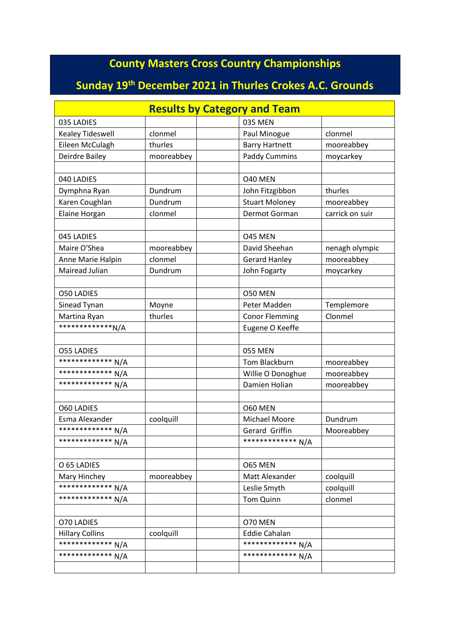## **County Masters Cross Country Championships**

## **Sunday 19th December 2021 in Thurles Crokes A.C. Grounds**

| <b>Results by Category and Team</b> |            |  |                       |                 |
|-------------------------------------|------------|--|-----------------------|-----------------|
| 035 LADIES                          |            |  | 035 MEN               |                 |
| Kealey Tideswell                    | clonmel    |  | Paul Minogue          | clonmel         |
| Eileen McCulagh                     | thurles    |  | <b>Barry Hartnett</b> | mooreabbey      |
| Deirdre Bailey                      | mooreabbey |  | <b>Paddy Cummins</b>  | moycarkey       |
|                                     |            |  |                       |                 |
| 040 LADIES                          |            |  | O40 MEN               |                 |
| Dymphna Ryan                        | Dundrum    |  | John Fitzgibbon       | thurles         |
| Karen Coughlan                      | Dundrum    |  | <b>Stuart Moloney</b> | mooreabbey      |
| Elaine Horgan                       | clonmel    |  | Dermot Gorman         | carrick on suir |
|                                     |            |  |                       |                 |
| 045 LADIES                          |            |  | O45 MEN               |                 |
| Maire O'Shea                        | mooreabbey |  | David Sheehan         | nenagh olympic  |
| Anne Marie Halpin                   | clonmel    |  | <b>Gerard Hanley</b>  | mooreabbey      |
| Mairead Julian                      | Dundrum    |  | John Fogarty          | moycarkey       |
|                                     |            |  |                       |                 |
| <b>O50 LADIES</b>                   |            |  | O50 MEN               |                 |
| Sinead Tynan                        | Moyne      |  | Peter Madden          | Templemore      |
| Martina Ryan                        | thurles    |  | <b>Conor Flemming</b> | Clonmel         |
| **************N/A                   |            |  | Eugene O Keeffe       |                 |
|                                     |            |  |                       |                 |
| <b>O55 LADIES</b>                   |            |  | 055 MEN               |                 |
| ************** N/A                  |            |  | Tom Blackburn         | mooreabbey      |
| ************* N/A                   |            |  | Willie O Donoghue     | mooreabbey      |
| ************** N/A                  |            |  | Damien Holian         | mooreabbey      |
|                                     |            |  |                       |                 |
| <b>O60 LADIES</b>                   |            |  | O60 MEN               |                 |
| Esma Alexander                      | coolquill  |  | Michael Moore         | Dundrum         |
| ************** N/A                  |            |  | Gerard Griffin        | Mooreabbey      |
| ************** N/A                  |            |  | ************* N/A     |                 |
|                                     |            |  |                       |                 |
| O 65 LADIES                         |            |  | O65 MEN               |                 |
| Mary Hinchey                        | mooreabbey |  | Matt Alexander        | coolquill       |
| ************* N/A                   |            |  | Leslie Smyth          | coolquill       |
| ************** N/A                  |            |  | Tom Quinn             | clonmel         |
|                                     |            |  |                       |                 |
| O70 LADIES                          |            |  | O70 MEN               |                 |
| <b>Hillary Collins</b>              | coolquill  |  | <b>Eddie Cahalan</b>  |                 |
| ************* N/A                   |            |  | ************** N/A    |                 |
| ************* N/A                   |            |  | ************* N/A     |                 |
|                                     |            |  |                       |                 |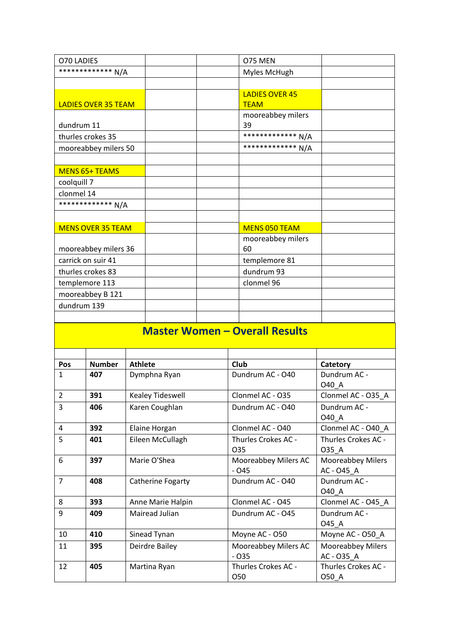| O70 LADIES                            |  | O75 MEN                              |  |  |
|---------------------------------------|--|--------------------------------------|--|--|
| ************** N/A                    |  | Myles McHugh                         |  |  |
|                                       |  |                                      |  |  |
| <b>LADIES OVER 35 TEAM</b>            |  | <b>LADIES OVER 45</b><br><b>TEAM</b> |  |  |
| dundrum 11                            |  | mooreabbey milers<br>39              |  |  |
| thurles crokes 35                     |  | ************* N/A                    |  |  |
| mooreabbey milers 50                  |  | ************* N/A                    |  |  |
|                                       |  |                                      |  |  |
| <b>MENS 65+ TEAMS</b>                 |  |                                      |  |  |
| coolquill 7                           |  |                                      |  |  |
| clonmel 14                            |  |                                      |  |  |
| ************** N/A                    |  |                                      |  |  |
|                                       |  |                                      |  |  |
| <b>MENS OVER 35 TEAM</b>              |  | <b>MENS 050 TEAM</b>                 |  |  |
| mooreabbey milers 36                  |  | mooreabbey milers<br>60              |  |  |
| carrick on suir 41                    |  | templemore 81                        |  |  |
| thurles crokes 83                     |  | dundrum 93                           |  |  |
| templemore 113                        |  | clonmel 96                           |  |  |
| mooreabbey B 121                      |  |                                      |  |  |
| dundrum 139                           |  |                                      |  |  |
|                                       |  |                                      |  |  |
| <b>Master Women - Overall Results</b> |  |                                      |  |  |

| Pos            | <b>Number</b> | <b>Athlete</b>    | Club                 | Catetory                 |
|----------------|---------------|-------------------|----------------------|--------------------------|
| 1              | 407           | Dymphna Ryan      | Dundrum AC - O40     | Dundrum AC -             |
|                |               |                   |                      | 040_A                    |
| $\overline{2}$ | 391           | Kealey Tideswell  | Clonmel AC - O35     | Clonmel AC - O35_A       |
| 3              | 406           | Karen Coughlan    | Dundrum AC - O40     | Dundrum AC -             |
|                |               |                   |                      | 040_A                    |
| 4              | 392           | Elaine Horgan     | Clonmel AC - O40     | Clonmel AC - O40_A       |
| 5              | 401           | Eileen McCullagh  | Thurles Crokes AC -  | Thurles Crokes AC -      |
|                |               |                   | O <sub>35</sub>      | 035_A                    |
| 6              | 397           | Marie O'Shea      | Mooreabbey Milers AC | <b>Mooreabbey Milers</b> |
|                |               |                   | $-045$               | AC-045 A                 |
| $\overline{7}$ | 408           | Catherine Fogarty | Dundrum AC - O40     | Dundrum AC -             |
|                |               |                   |                      | 040 A                    |
| 8              | 393           | Anne Marie Halpin | Clonmel AC - O45     | Clonmel AC - O45_A       |
| 9              | 409           | Mairead Julian    | Dundrum AC - O45     | Dundrum AC -             |
|                |               |                   |                      | 045_A                    |
| 10             | 410           | Sinead Tynan      | Moyne AC - O50       | Moyne AC - O50_A         |
| 11             | 395           | Deirdre Bailey    | Mooreabbey Milers AC | <b>Mooreabbey Milers</b> |
|                |               |                   | $-035$               | AC-035 A                 |
| 12             | 405           | Martina Ryan      | Thurles Crokes AC -  | Thurles Crokes AC -      |
|                |               |                   | O <sub>50</sub>      | 050_A                    |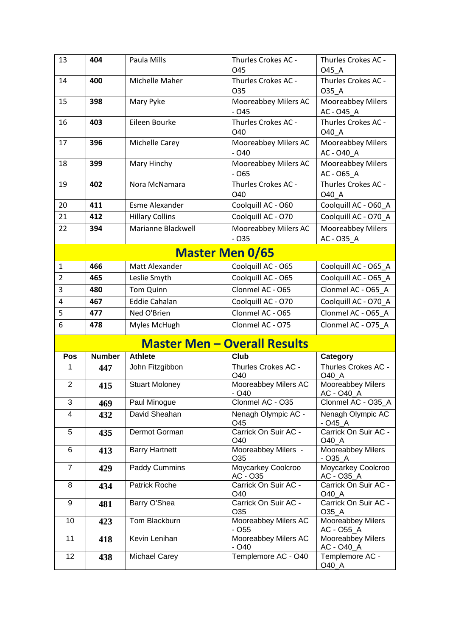| 13             | 404                    | Paula Mills                         | Thurles Crokes AC -<br>045                  | Thurles Crokes AC -<br>O45 A           |  |  |
|----------------|------------------------|-------------------------------------|---------------------------------------------|----------------------------------------|--|--|
| 14             | 400                    | Michelle Maher                      | Thurles Crokes AC -<br>O35                  | Thurles Crokes AC -<br>035 A           |  |  |
| 15             | 398                    | Mary Pyke                           | Mooreabbey Milers AC<br>$-045$              | Mooreabbey Milers<br>AC - 045 A        |  |  |
| 16             | 403                    | Eileen Bourke                       | Thurles Crokes AC -<br>O40                  | Thurles Crokes AC -<br>040 A           |  |  |
| 17             | 396                    | Michelle Carey                      | Mooreabbey Milers AC<br>$-040$              | Mooreabbey Milers<br>AC - O40_A        |  |  |
| 18             | 399                    | Mary Hinchy                         | Mooreabbey Milers AC<br>$-065$              | Mooreabbey Milers<br>AC - O65_A        |  |  |
| 19             | 402                    | Nora McNamara                       | Thurles Crokes AC -<br>O40                  | Thurles Crokes AC -<br>040 A           |  |  |
| 20             | 411                    | Esme Alexander                      | Coolquill AC - O60                          | Coolquill AC - O60 A                   |  |  |
| 21             | 412                    | <b>Hillary Collins</b>              | Coolquill AC - O70                          | Coolquill AC - O70_A                   |  |  |
| 22             | 394                    | Marianne Blackwell                  | Mooreabbey Milers AC<br>$-035$              | <b>Mooreabbey Milers</b><br>AC - 035_A |  |  |
|                | <b>Master Men 0/65</b> |                                     |                                             |                                        |  |  |
| $\mathbf{1}$   | 466                    | Matt Alexander                      | Coolquill AC - O65                          | Coolquill AC - O65_A                   |  |  |
| $\overline{2}$ | 465                    | Leslie Smyth                        | Coolquill AC - O65                          | Coolquill AC - O65_A                   |  |  |
| 3              | 480                    | <b>Tom Quinn</b>                    | Clonmel AC - O65                            | Clonmel AC - O65 A                     |  |  |
| 4              | 467                    | <b>Eddie Cahalan</b>                | Coolquill AC - O70                          | Coolquill AC - O70_A                   |  |  |
| 5              | 477                    | Ned O'Brien                         | Clonmel AC - O65                            | Clonmel AC - O65_A                     |  |  |
| 6              | 478                    | Myles McHugh                        | Clonmel AC - O75                            | Clonmel AC - O75 A                     |  |  |
|                |                        | <b>Master Men - Overall Results</b> |                                             |                                        |  |  |
| Pos            | <b>Number</b>          | <b>Athlete</b>                      | Club                                        | Category                               |  |  |
| 1              | 447                    | John Fitzgibbon                     | Thurles Crokes AC -<br>O40                  | Thurles Crokes AC -<br>O40_A           |  |  |
| $\overline{2}$ | 415                    | <b>Stuart Moloney</b>               | Mooreabbey Milers AC<br>- O40               | Mooreabbey Milers<br>AC - O40_A        |  |  |
| 3              | 469                    | Paul Minogue                        | Clonmel AC - O35                            | Clonmel AC - O35_A                     |  |  |
| 4              | 432                    | David Sheahan                       | Nenagh Olympic AC -<br>O45                  | Nenagh Olympic AC<br>$-$ O45 $\_$ A    |  |  |
| 5              | 435                    | Dermot Gorman                       | Carrick On Suir AC -<br>O40                 | Carrick On Suir AC -<br>O40 A          |  |  |
| 6              | 413                    | <b>Barry Hartnett</b>               | Mooreabbey Milers -<br>O35                  | Mooreabbey Milers<br>$-035A$           |  |  |
| $\overline{7}$ | 429                    | Paddy Cummins                       | Moycarkey Coolcroo<br>AC - O35              | Moycarkey Coolcroo<br>AC - O35_A       |  |  |
| 8              | 434                    | Patrick Roche                       | Carrick On Suir AC -<br>O40                 | Carrick On Suir AC -<br>O40_A          |  |  |
| 9              | 481                    | Barry O'Shea                        | Carrick On Suir AC -<br>O35                 | Carrick On Suir AC -<br>O35_A          |  |  |
| 10             | 423                    | Tom Blackburn                       | Mooreabbey Milers AC<br>$-$ O <sub>55</sub> | Mooreabbey Milers<br>AC - O55_A        |  |  |
| 11             | 418                    | Kevin Lenihan                       | Mooreabbey Milers AC<br>$-$ O <sub>40</sub> | Mooreabbey Milers<br>AC - O40_A        |  |  |
| 12             | 438                    | Michael Carey                       | Templemore AC - O40                         | Templemore AC -<br>O40_A               |  |  |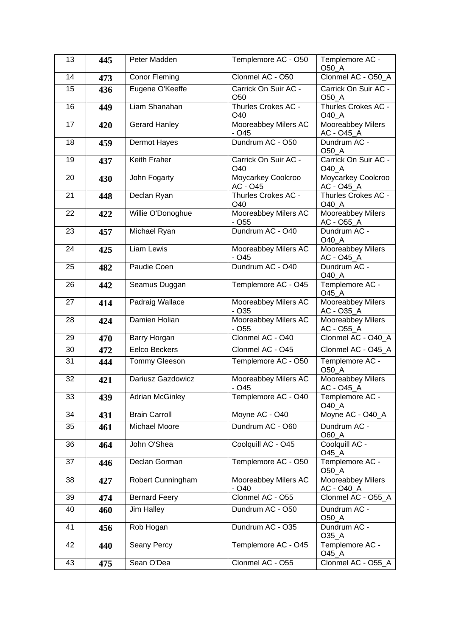| 13 | 445 | Peter Madden           | Templemore AC - O50                         | Templemore AC -<br>O50_A                      |
|----|-----|------------------------|---------------------------------------------|-----------------------------------------------|
| 14 | 473 | Conor Fleming          | Clonmel AC - O50                            | Clonmel AC - O50_A                            |
| 15 | 436 | Eugene O'Keeffe        | Carrick On Suir AC -<br>O <sub>50</sub>     | Carrick On Suir AC -<br>O50_A                 |
| 16 | 449 | Liam Shanahan          | Thurles Crokes AC -<br>O40                  | Thurles Crokes AC -<br>O40_A                  |
| 17 | 420 | <b>Gerard Hanley</b>   | Mooreabbey Milers AC<br>$-045$              | Mooreabbey Milers<br>AC - O45_A               |
| 18 | 459 | <b>Dermot Hayes</b>    | Dundrum AC - O50                            | Dundrum AC -<br>O50_A                         |
| 19 | 437 | Keith Fraher           | Carrick On Suir AC -<br>O40                 | Carrick On Suir AC -<br><b>O40_A</b>          |
| 20 | 430 | John Fogarty           | Moycarkey Coolcroo<br>AC - O45              | Moycarkey Coolcroo<br>AC - O45_A              |
| 21 | 448 | Declan Ryan            | Thurles Crokes AC -<br>O40                  | Thurles Crokes AC -<br>O40_A                  |
| 22 | 422 | Willie O'Donoghue      | Mooreabbey Milers AC<br>$-055$              | <b>Mooreabbey Milers</b><br><u>AC - O55_A</u> |
| 23 | 457 | Michael Ryan           | Dundrum AC - O40                            | Dundrum AC -<br>O40_A                         |
| 24 | 425 | Liam Lewis             | Mooreabbey Milers AC<br>$-045$              | Mooreabbey Milers<br>AC - O45_A               |
| 25 | 482 | Paudie Coen            | Dundrum AC - O40                            | Dundrum AC -<br>O40_A                         |
| 26 | 442 | Seamus Duggan          | Templemore AC - O45                         | Templemore AC -<br>O45_A                      |
| 27 | 414 | <b>Padraig Wallace</b> | Mooreabbey Milers AC<br>$-035$              | Mooreabbey Milers<br>AC - O35_A               |
| 28 | 424 | Damien Holian          | Mooreabbey Milers AC<br>$-$ O <sub>55</sub> | Mooreabbey Milers<br>AC - O55_A               |
| 29 | 470 | Barry Horgan           | Clonmel AC - O40                            | Clonmel AC - O40_A                            |
| 30 | 472 | <b>Eelco Beckers</b>   | Clonmel AC - O45                            | Clonmel AC - O45_A                            |
| 31 | 444 | Tommy Gleeson          | Templemore AC - O50                         | Templemore AC -<br>O50_A                      |
| 32 | 421 | Dariusz Gazdowicz      | Mooreabbey Milers AC<br>$-045$              | <b>Mooreabbey Milers</b><br>AC - O45_A        |
| 33 | 439 | <b>Adrian McGinley</b> | Templemore AC - O40                         | Templemore AC -<br>O40 A                      |
| 34 | 431 | <b>Brain Carroll</b>   | Moyne AC - O40                              | Moyne AC - O40_A                              |
| 35 | 461 | Michael Moore          | Dundrum AC - O60                            | Dundrum AC -<br>O60_A                         |
| 36 | 464 | John O'Shea            | Coolquill AC - O45                          | Coolquill AC -<br>O45_A                       |
| 37 | 446 | Declan Gorman          | Templemore AC - O50                         | Templemore AC -<br>O50_A                      |
| 38 | 427 | Robert Cunningham      | Mooreabbey Milers AC<br>$-040$              | Mooreabbey Milers<br>AC - O40_A               |
| 39 | 474 | <b>Bernard Feery</b>   | Clonmel AC - O55                            | Clonmel AC - O55_A                            |
| 40 | 460 | Jim Halley             | Dundrum AC - O50                            | Dundrum AC -<br>O50_A                         |
| 41 | 456 | Rob Hogan              | Dundrum AC - O35                            | Dundrum AC -<br>O35_A                         |
| 42 | 440 | Seany Percy            | Templemore AC - O45                         | Templemore AC -<br>O45_A                      |
| 43 | 475 | Sean O'Dea             | Clonmel AC - O55                            | Clonmel AC - O55_A                            |